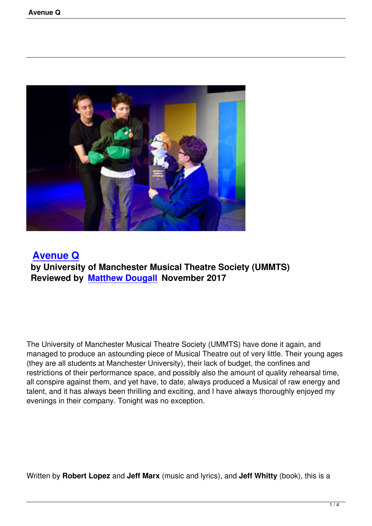

 **Avenue Q by University of Manchester Musical Theatre Society (UMMTS) [Reviewed by](avenue-q.html) Matthew Dougall November 2017**

The University of Manchester Musical Theatre Society (UMMTS) have done it again, and managed to produce an astounding piece of Musical Theatre out of very little. Their young ages (they are all students at Manchester University), their lack of budget, the confines and restrictions of their performance space, and possibly also the amount of quality rehearsal time, all conspire against them, and yet have, to date, always produced a Musical of raw energy and talent, and it has always been thrilling and exciting, and I have always thoroughly enjoyed my evenings in their company. Tonight was no exception.

Written by **Robert Lopez** and **Jeff Marx** (music and lyrics), and **Jeff Whitty** (book), this is a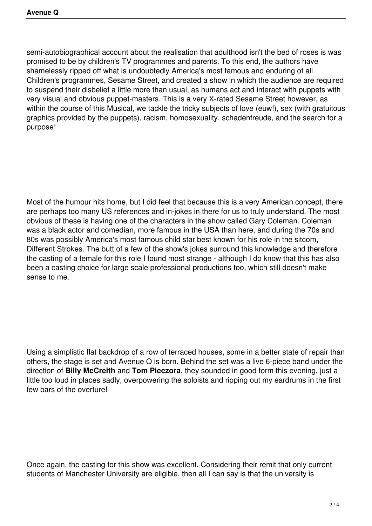semi-autobiographical account about the realisation that adulthood isn't the bed of roses is was promised to be by children's TV programmes and parents. To this end, the authors have shamelessly ripped off what is undoubtedly America's most famous and enduring of all Children's programmes, Sesame Street, and created a show in which the audience are required to suspend their disbelief a little more than usual, as humans act and interact with puppets with very visual and obvious puppet-masters. This is a very X-rated Sesame Street however, as within the course of this Musical, we tackle the tricky subjects of love (euw!), sex (with gratuitous graphics provided by the puppets), racism, homosexuality, schadenfreude, and the search for a purpose!

Most of the humour hits home, but I did feel that because this is a very American concept, there are perhaps too many US references and in-jokes in there for us to truly understand. The most obvious of these is having one of the characters in the show called Gary Coleman. Coleman was a black actor and comedian, more famous in the USA than here, and during the 70s and 80s was possibly America's most famous child star best known for his role in the sitcom, Different Strokes. The butt of a few of the show's jokes surround this knowledge and therefore the casting of a female for this role I found most strange - although I do know that this has also been a casting choice for large scale professional productions too, which still doesn't make sense to me.

Using a simplistic flat backdrop of a row of terraced houses, some in a better state of repair than others, the stage is set and Avenue Q is born. Behind the set was a live 6-piece band under the direction of **Billy McCreith** and **Tom Pieczora**, they sounded in good form this evening, just a little too loud in places sadly, overpowering the soloists and ripping out my eardrums in the first few bars of the overture!

Once again, the casting for this show was excellent. Considering their remit that only current students of Manchester University are eligible, then all I can say is that the university is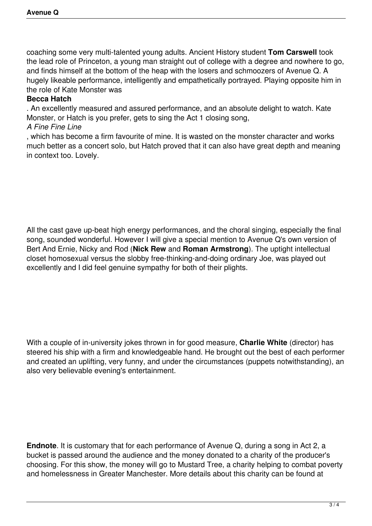coaching some very multi-talented young adults. Ancient History student **Tom Carswell** took the lead role of Princeton, a young man straight out of college with a degree and nowhere to go, and finds himself at the bottom of the heap with the losers and schmoozers of Avenue Q. A hugely likeable performance, intelligently and empathetically portrayed. Playing opposite him in the role of Kate Monster was

## **Becca Hatch**

. An excellently measured and assured performance, and an absolute delight to watch. Kate Monster, or Hatch is you prefer, gets to sing the Act 1 closing song,

## *A Fine Fine Line*

, which has become a firm favourite of mine. It is wasted on the monster character and works much better as a concert solo, but Hatch proved that it can also have great depth and meaning in context too. Lovely.

All the cast gave up-beat high energy performances, and the choral singing, especially the final song, sounded wonderful. However I will give a special mention to Avenue Q's own version of Bert And Ernie, Nicky and Rod (**Nick Rew** and **Roman Armstrong**). The uptight intellectual closet homosexual versus the slobby free-thinking-and-doing ordinary Joe, was played out excellently and I did feel genuine sympathy for both of their plights.

With a couple of in-university jokes thrown in for good measure, **Charlie White** (director) has steered his ship with a firm and knowledgeable hand. He brought out the best of each performer and created an uplifting, very funny, and under the circumstances (puppets notwithstanding), an also very believable evening's entertainment.

**Endnote**. It is customary that for each performance of Avenue Q, during a song in Act 2, a bucket is passed around the audience and the money donated to a charity of the producer's choosing. For this show, the money will go to Mustard Tree, a charity helping to combat poverty and homelessness in Greater Manchester. More details about this charity can be found at